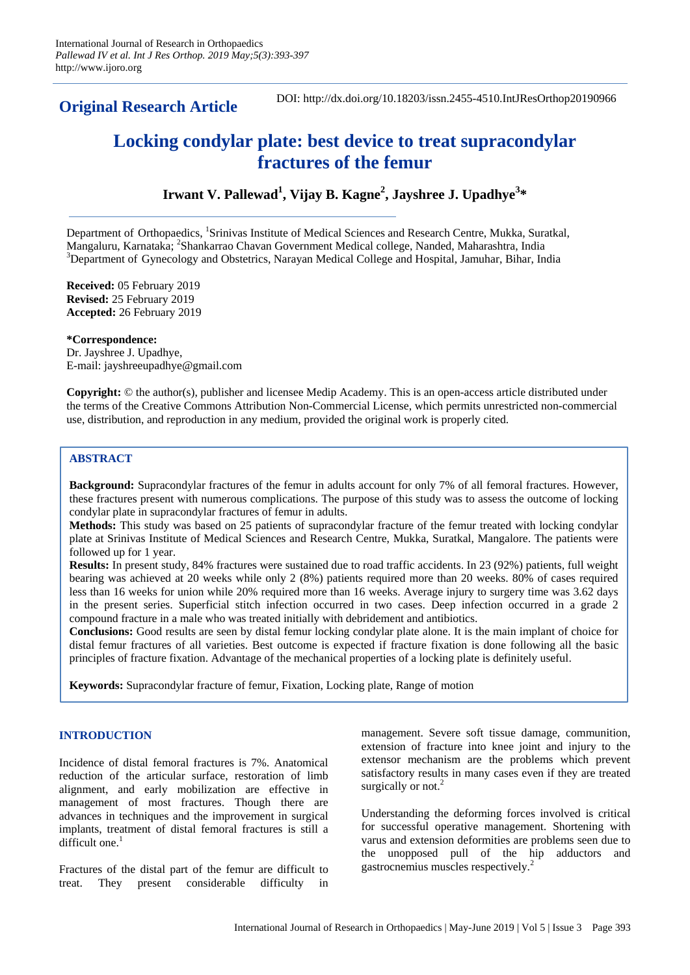**Original Research Article**

DOI: http://dx.doi.org/10.18203/issn.2455-4510.IntJResOrthop20190966

# **Locking condylar plate: best device to treat supracondylar fractures of the femur**

# **Irwant V. Pallewad<sup>1</sup> , Vijay B. Kagne<sup>2</sup> , Jayshree J. Upadhye<sup>3</sup> \***

Department of Orthopaedics, <sup>1</sup>Srinivas Institute of Medical Sciences and Research Centre, Mukka, Suratkal, Mangaluru, Karnataka; <sup>2</sup>Shankarrao Chavan Government Medical college, Nanded, Maharashtra, India  $3$ Department of Gynecology and Obstetrics, Narayan Medical College and Hospital, Jamuhar, Bihar, India

**Received:** 05 February 2019 **Revised:** 25 February 2019 **Accepted:** 26 February 2019

**\*Correspondence:** Dr. Jayshree J. Upadhye, E-mail: jayshreeupadhye@gmail.com

**Copyright:** © the author(s), publisher and licensee Medip Academy. This is an open-access article distributed under the terms of the Creative Commons Attribution Non-Commercial License, which permits unrestricted non-commercial use, distribution, and reproduction in any medium, provided the original work is properly cited.

# **ABSTRACT**

**Background:** Supracondylar fractures of the femur in adults account for only 7% of all femoral fractures. However, these fractures present with numerous complications. The purpose of this study was to assess the outcome of locking condylar plate in supracondylar fractures of femur in adults.

**Methods:** This study was based on 25 patients of supracondylar fracture of the femur treated with locking condylar plate at Srinivas Institute of Medical Sciences and Research Centre, Mukka, Suratkal, Mangalore. The patients were followed up for 1 year.

**Results:** In present study, 84% fractures were sustained due to road traffic accidents. In 23 (92%) patients, full weight bearing was achieved at 20 weeks while only 2 (8%) patients required more than 20 weeks. 80% of cases required less than 16 weeks for union while 20% required more than 16 weeks. Average injury to surgery time was 3.62 days in the present series. Superficial stitch infection occurred in two cases. Deep infection occurred in a grade 2 compound fracture in a male who was treated initially with debridement and antibiotics.

**Conclusions:** Good results are seen by distal femur locking condylar plate alone. It is the main implant of choice for distal femur fractures of all varieties. Best outcome is expected if fracture fixation is done following all the basic principles of fracture fixation. Advantage of the mechanical properties of a locking plate is definitely useful.

**Keywords:** Supracondylar fracture of femur, Fixation, Locking plate, Range of motion

# **INTRODUCTION**

Incidence of distal femoral fractures is 7%. Anatomical reduction of the articular surface, restoration of limb alignment, and early mobilization are effective in management of most fractures. Though there are advances in techniques and the improvement in surgical implants, treatment of distal femoral fractures is still a difficult one. $<sup>1</sup>$ </sup>

Fractures of the distal part of the femur are difficult to treat. They present considerable difficulty in management. Severe soft tissue damage, communition, extension of fracture into knee joint and injury to the extensor mechanism are the problems which prevent satisfactory results in many cases even if they are treated surgically or not.<sup>2</sup>

Understanding the deforming forces involved is critical for successful operative management. Shortening with varus and extension deformities are problems seen due to the unopposed pull of the hip adductors and gastrocnemius muscles respectively.<sup>2</sup>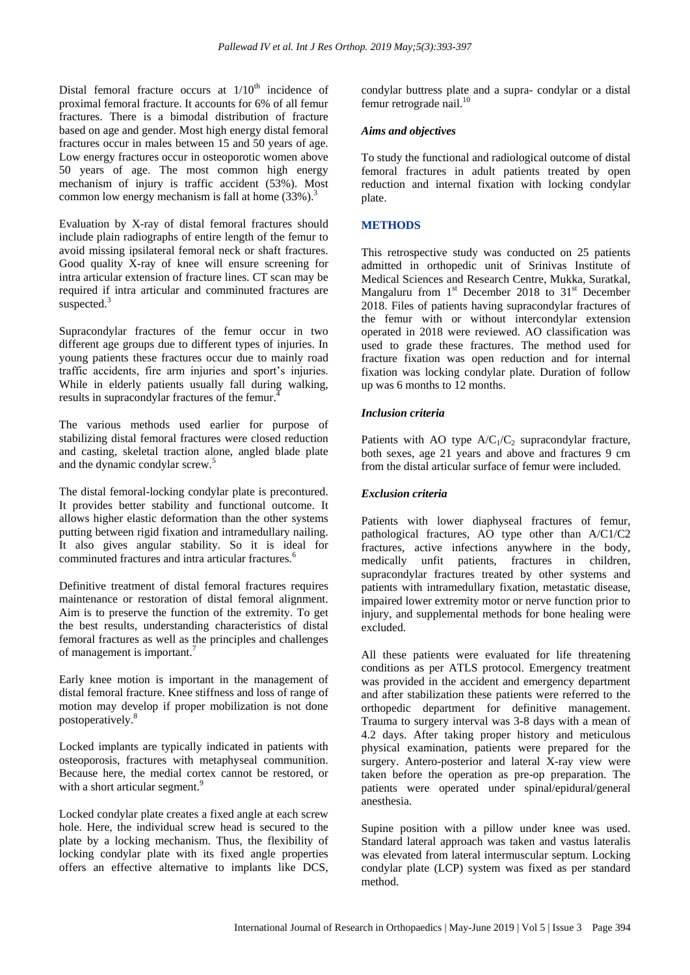Distal femoral fracture occurs at  $1/10<sup>th</sup>$  incidence of proximal femoral fracture. It accounts for 6% of all femur fractures. There is a bimodal distribution of fracture based on age and gender. Most high energy distal femoral fractures occur in males between 15 and 50 years of age. Low energy fractures occur in osteoporotic women above 50 years of age. The most common high energy mechanism of injury is traffic accident (53%). Most common low energy mechanism is fall at home  $(33\%)$ .<sup>3</sup>

Evaluation by X-ray of distal femoral fractures should include plain radiographs of entire length of the femur to avoid missing ipsilateral femoral neck or shaft fractures. Good quality X-ray of knee will ensure screening for intra articular extension of fracture lines. CT scan may be required if intra articular and comminuted fractures are suspected.<sup>3</sup>

Supracondylar fractures of the femur occur in two different age groups due to different types of injuries. In young patients these fractures occur due to mainly road traffic accidents, fire arm injuries and sport's injuries. While in elderly patients usually fall during walking, results in supracondylar fractures of the femur.<sup>4</sup>

The various methods used earlier for purpose of stabilizing distal femoral fractures were closed reduction and casting, skeletal traction alone, angled blade plate and the dynamic condylar screw.<sup>5</sup>

The distal femoral-locking condylar plate is precontured. It provides better stability and functional outcome. It allows higher elastic deformation than the other systems putting between rigid fixation and intramedullary nailing. It also gives angular stability. So it is ideal for comminuted fractures and intra articular fractures.<sup>6</sup>

Definitive treatment of distal femoral fractures requires maintenance or restoration of distal femoral alignment. Aim is to preserve the function of the extremity. To get the best results, understanding characteristics of distal femoral fractures as well as the principles and challenges of management is important.<sup>7</sup>

Early knee motion is important in the management of distal femoral fracture. Knee stiffness and loss of range of motion may develop if proper mobilization is not done postoperatively.<sup>8</sup>

Locked implants are typically indicated in patients with osteoporosis, fractures with metaphyseal communition. Because here, the medial cortex cannot be restored, or with a short articular segment.<sup>9</sup>

Locked condylar plate creates a fixed angle at each screw hole. Here, the individual screw head is secured to the plate by a locking mechanism. Thus, the flexibility of locking condylar plate with its fixed angle properties offers an effective alternative to implants like DCS, condylar buttress plate and a supra- condylar or a distal femur retrograde nail.<sup>10</sup>

#### *Aims and objectives*

To study the functional and radiological outcome of distal femoral fractures in adult patients treated by open reduction and internal fixation with locking condylar plate.

# **METHODS**

This retrospective study was conducted on 25 patients admitted in orthopedic unit of Srinivas Institute of Medical Sciences and Research Centre, Mukka, Suratkal, Mangaluru from  $1<sup>st</sup>$  December 2018 to  $31<sup>st</sup>$  December 2018. Files of patients having supracondylar fractures of the femur with or without intercondylar extension operated in 2018 were reviewed. AO classification was used to grade these fractures. The method used for fracture fixation was open reduction and for internal fixation was locking condylar plate. Duration of follow up was 6 months to 12 months.

# *Inclusion criteria*

Patients with AO type  $A/C_1/C_2$  supracondylar fracture, both sexes, age 21 years and above and fractures 9 cm from the distal articular surface of femur were included.

# *Exclusion criteria*

Patients with lower diaphyseal fractures of femur, pathological fractures, AO type other than A/C1/C2 fractures, active infections anywhere in the body, medically unfit patients, fractures in children, supracondylar fractures treated by other systems and patients with intramedullary fixation, metastatic disease, impaired lower extremity motor or nerve function prior to injury, and supplemental methods for bone healing were excluded.

All these patients were evaluated for life threatening conditions as per ATLS protocol. Emergency treatment was provided in the accident and emergency department and after stabilization these patients were referred to the orthopedic department for definitive management. Trauma to surgery interval was 3-8 days with a mean of 4.2 days. After taking proper history and meticulous physical examination, patients were prepared for the surgery. Antero-posterior and lateral X-ray view were taken before the operation as pre-op preparation. The patients were operated under spinal/epidural/general anesthesia.

Supine position with a pillow under knee was used. Standard lateral approach was taken and vastus lateralis was elevated from lateral intermuscular septum. Locking condylar plate (LCP) system was fixed as per standard method.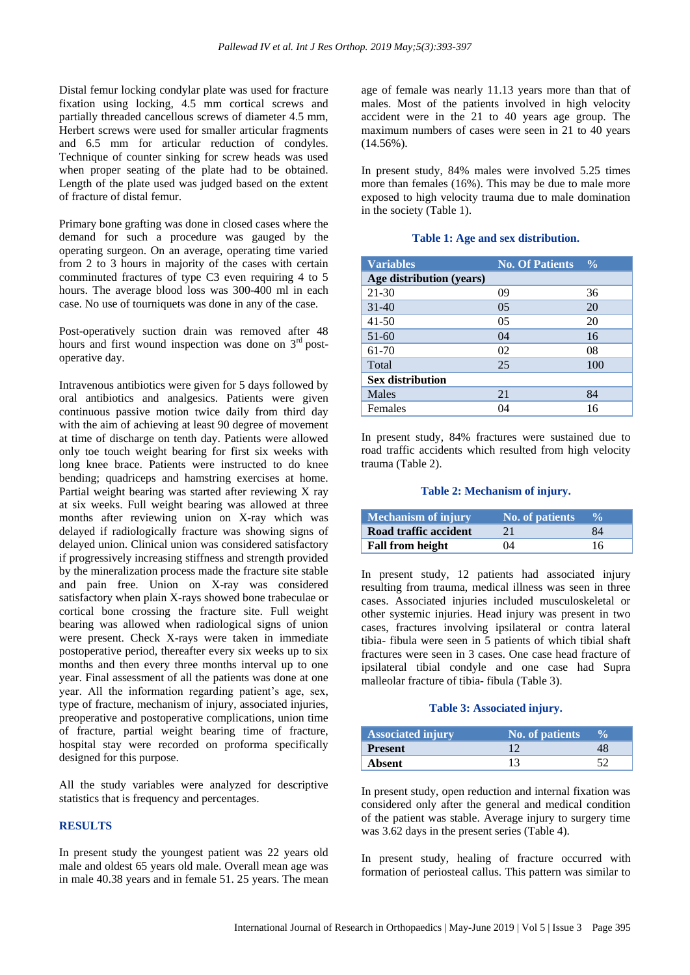Distal femur locking condylar plate was used for fracture fixation using locking, 4.5 mm cortical screws and partially threaded cancellous screws of diameter 4.5 mm, Herbert screws were used for smaller articular fragments and 6.5 mm for articular reduction of condyles. Technique of counter sinking for screw heads was used when proper seating of the plate had to be obtained. Length of the plate used was judged based on the extent of fracture of distal femur.

Primary bone grafting was done in closed cases where the demand for such a procedure was gauged by the operating surgeon. On an average, operating time varied from 2 to 3 hours in majority of the cases with certain comminuted fractures of type C3 even requiring 4 to 5 hours. The average blood loss was 300-400 ml in each case. No use of tourniquets was done in any of the case.

Post-operatively suction drain was removed after 48 hours and first wound inspection was done on  $3<sup>rd</sup>$  postoperative day.

Intravenous antibiotics were given for 5 days followed by oral antibiotics and analgesics. Patients were given continuous passive motion twice daily from third day with the aim of achieving at least 90 degree of movement at time of discharge on tenth day. Patients were allowed only toe touch weight bearing for first six weeks with long knee brace. Patients were instructed to do knee bending; quadriceps and hamstring exercises at home. Partial weight bearing was started after reviewing X ray at six weeks. Full weight bearing was allowed at three months after reviewing union on X-ray which was delayed if radiologically fracture was showing signs of delayed union. Clinical union was considered satisfactory if progressively increasing stiffness and strength provided by the mineralization process made the fracture site stable and pain free. Union on X-ray was considered satisfactory when plain X-rays showed bone trabeculae or cortical bone crossing the fracture site. Full weight bearing was allowed when radiological signs of union were present. Check X-rays were taken in immediate postoperative period, thereafter every six weeks up to six months and then every three months interval up to one year. Final assessment of all the patients was done at one year. All the information regarding patient's age, sex, type of fracture, mechanism of injury, associated injuries, preoperative and postoperative complications, union time of fracture, partial weight bearing time of fracture, hospital stay were recorded on proforma specifically designed for this purpose.

All the study variables were analyzed for descriptive statistics that is frequency and percentages.

# **RESULTS**

In present study the youngest patient was 22 years old male and oldest 65 years old male. Overall mean age was in male 40.38 years and in female 51. 25 years. The mean age of female was nearly 11.13 years more than that of males. Most of the patients involved in high velocity accident were in the 21 to 40 years age group. The maximum numbers of cases were seen in 21 to 40 years  $(14.56\%)$ .

In present study, 84% males were involved 5.25 times more than females (16%). This may be due to male more exposed to high velocity trauma due to male domination in the society (Table 1).

#### **Table 1: Age and sex distribution.**

| <b>Variables</b>         | <b>No. Of Patients</b> | $\frac{0}{0}$ |
|--------------------------|------------------------|---------------|
| Age distribution (years) |                        |               |
| $21 - 30$                | 09                     | 36            |
| $31 - 40$                | 0 <sub>5</sub>         | 20            |
| $41 - 50$                | 05                     | 20            |
| $51-60$                  | 04                     | 16            |
| 61-70                    | 02                     | 08            |
| Total                    | 25                     | 100           |
| <b>Sex distribution</b>  |                        |               |
| Males                    | 21                     | 84            |
| Females                  | 04                     | 16            |

In present study, 84% fractures were sustained due to road traffic accidents which resulted from high velocity trauma (Table 2).

#### **Table 2: Mechanism of injury.**

| Mechanism of injury     | <b>No. of patients</b> | $\frac{6}{6}$ |
|-------------------------|------------------------|---------------|
| Road traffic accident   |                        | 84            |
| <b>Fall from height</b> | $\Omega$               | 16            |

In present study, 12 patients had associated injury resulting from trauma, medical illness was seen in three cases. Associated injuries included musculoskeletal or other systemic injuries. Head injury was present in two cases, fractures involving ipsilateral or contra lateral tibia- fibula were seen in 5 patients of which tibial shaft fractures were seen in 3 cases. One case head fracture of ipsilateral tibial condyle and one case had Supra malleolar fracture of tibia- fibula (Table 3).

#### **Table 3: Associated injury.**

| <b>Associated injury</b> | <b>No. of patients</b> | $\mathbf{v}_0$ |
|--------------------------|------------------------|----------------|
| <b>Present</b>           |                        |                |
| Absent                   |                        |                |

In present study, open reduction and internal fixation was considered only after the general and medical condition of the patient was stable. Average injury to surgery time was 3.62 days in the present series (Table 4).

In present study, healing of fracture occurred with formation of periosteal callus. This pattern was similar to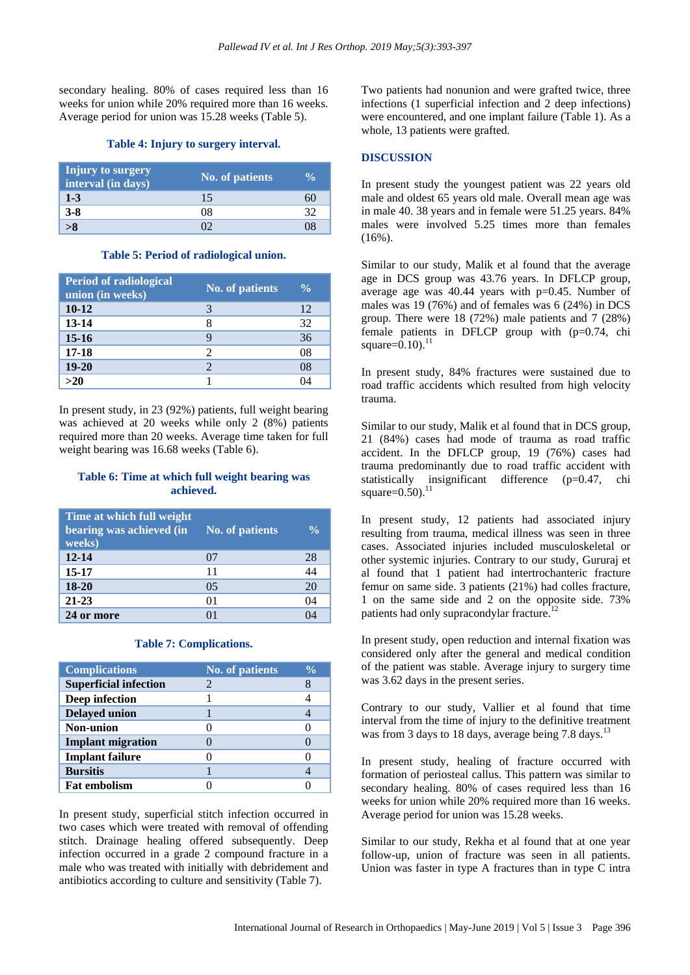secondary healing. 80% of cases required less than 16 weeks for union while 20% required more than 16 weeks. Average period for union was 15.28 weeks (Table 5).

#### **Table 4: Injury to surgery interval.**

| Injury to surgery<br>interval (in days) | <b>No. of patients</b> |  |
|-----------------------------------------|------------------------|--|
| $1-3$                                   | 15                     |  |
| $3 - 8$                                 | D8                     |  |
|                                         |                        |  |

#### **Table 5: Period of radiological union.**

| <b>Period of radiological</b><br>union (in weeks) | <b>No. of patients</b> | $\frac{0}{\alpha}$ |
|---------------------------------------------------|------------------------|--------------------|
| $10-12$                                           |                        | 12                 |
| 13-14                                             |                        | 32                 |
| $15 - 16$                                         |                        | 36                 |
| $17 - 18$                                         | 2                      | 08                 |
| $19-20$                                           |                        | 08                 |
| $>20$                                             |                        |                    |

In present study, in 23 (92%) patients, full weight bearing was achieved at 20 weeks while only 2 (8%) patients required more than 20 weeks. Average time taken for full weight bearing was 16.68 weeks (Table 6).

#### **Table 6: Time at which full weight bearing was achieved.**

| Time at which full weight<br>bearing was achieved (in<br>weeks) | <b>No. of patients</b> | $\frac{0}{\alpha}$ |
|-----------------------------------------------------------------|------------------------|--------------------|
| $12 - 14$                                                       | 07                     | 28                 |
| 15-17                                                           | 11                     | 44                 |
| 18-20                                                           | 0.5                    | 20                 |
| $21 - 23$                                                       | 01                     | 04                 |
| 24 or more                                                      |                        |                    |

#### **Table 7: Complications.**

| <b>Complications</b>         | <b>No. of patients</b> | $\frac{0}{\alpha}$ |
|------------------------------|------------------------|--------------------|
| <b>Superficial infection</b> |                        |                    |
| Deep infection               |                        |                    |
| <b>Delayed union</b>         |                        |                    |
| Non-union                    |                        |                    |
| <b>Implant migration</b>     |                        |                    |
| <b>Implant failure</b>       |                        |                    |
| <b>Bursitis</b>              |                        |                    |
| <b>Fat embolism</b>          |                        |                    |

In present study, superficial stitch infection occurred in two cases which were treated with removal of offending stitch. Drainage healing offered subsequently. Deep infection occurred in a grade 2 compound fracture in a male who was treated with initially with debridement and antibiotics according to culture and sensitivity (Table 7).

Two patients had nonunion and were grafted twice, three infections (1 superficial infection and 2 deep infections) were encountered, and one implant failure (Table 1). As a whole, 13 patients were grafted.

#### **DISCUSSION**

In present study the youngest patient was 22 years old male and oldest 65 years old male. Overall mean age was in male 40. 38 years and in female were 51.25 years. 84% males were involved 5.25 times more than females  $(16\%)$ .

Similar to our study, Malik et al found that the average age in DCS group was 43.76 years. In DFLCP group, average age was  $40.44$  years with  $p=0.45$ . Number of males was 19 (76%) and of females was 6 (24%) in DCS group. There were 18 (72%) male patients and 7 (28%) female patients in DFLCP group with (p=0.74, chi square= $0.10$ ).<sup>11</sup>

In present study, 84% fractures were sustained due to road traffic accidents which resulted from high velocity trauma.

Similar to our study, Malik et al found that in DCS group, 21 (84%) cases had mode of trauma as road traffic accident. In the DFLCP group, 19 (76%) cases had trauma predominantly due to road traffic accident with statistically insignificant difference (p=0.47, chi  $square=0.50$ ).<sup>11</sup>

In present study, 12 patients had associated injury resulting from trauma, medical illness was seen in three cases. Associated injuries included musculoskeletal or other systemic injuries. Contrary to our study, Gururaj et al found that 1 patient had intertrochanteric fracture femur on same side. 3 patients (21%) had colles fracture, 1 on the same side and 2 on the opposite side. 73% patients had only supracondylar fracture.<sup>1</sup>

In present study, open reduction and internal fixation was considered only after the general and medical condition of the patient was stable. Average injury to surgery time was 3.62 days in the present series.

Contrary to our study, Vallier et al found that time interval from the time of injury to the definitive treatment was from 3 days to 18 days, average being 7.8 days.<sup>13</sup>

In present study, healing of fracture occurred with formation of periosteal callus. This pattern was similar to secondary healing. 80% of cases required less than 16 weeks for union while 20% required more than 16 weeks. Average period for union was 15.28 weeks.

Similar to our study, Rekha et al found that at one year follow-up, union of fracture was seen in all patients. Union was faster in type A fractures than in type C intra